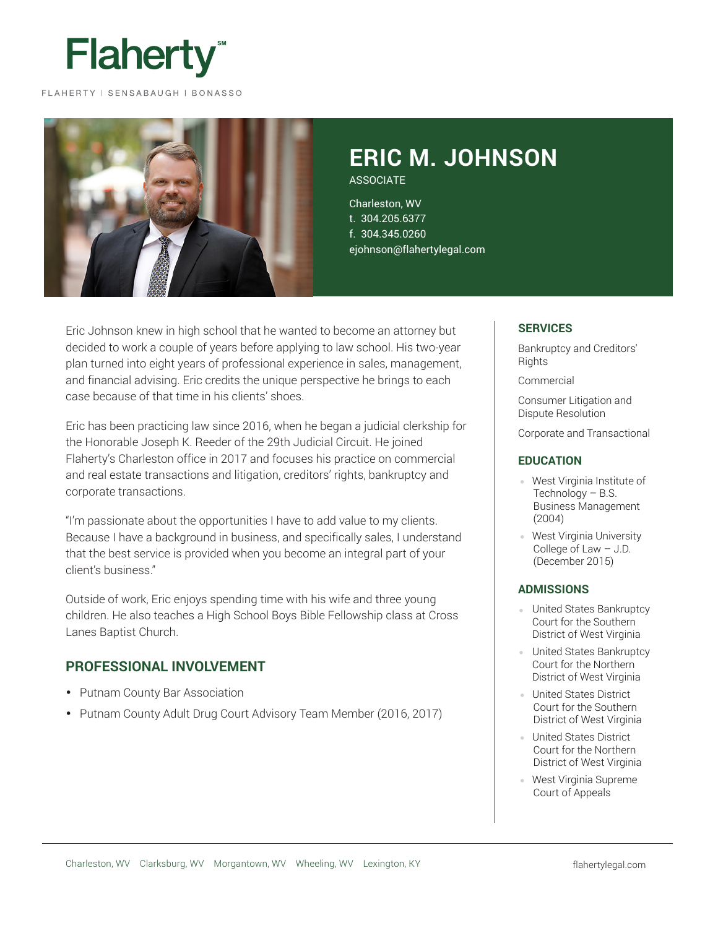

#### FLAHERTY | SENSABAUGH | BONASSO



# **ERIC M. JOHNSON**

**ASSOCIATE** 

Charleston, WV t. 304.205.6377 f. 304.345.0260 ejohnson@flahertylegal.com

Eric Johnson knew in high school that he wanted to become an attorney but decided to work a couple of years before applying to law school. His two-year plan turned into eight years of professional experience in sales, management, and financial advising. Eric credits the unique perspective he brings to each case because of that time in his clients' shoes.

Eric has been practicing law since 2016, when he began a judicial clerkship for the Honorable Joseph K. Reeder of the 29th Judicial Circuit. He joined Flaherty's Charleston office in 2017 and focuses his practice on commercial and real estate transactions and litigation, creditors' rights, bankruptcy and corporate transactions.

"I'm passionate about the opportunities I have to add value to my clients. Because I have a background in business, and specifically sales, I understand that the best service is provided when you become an integral part of your client's business."

Outside of work, Eric enjoys spending time with his wife and three young children. He also teaches a High School Boys Bible Fellowship class at Cross Lanes Baptist Church.

#### **PROFESSIONAL INVOLVEMENT**

- Putnam County Bar Association
- Putnam County Adult Drug Court Advisory Team Member (2016, 2017)

#### **SERVICES**

Bankruptcy and Creditors' **Rights** 

**Commercial** 

Consumer Litigation and Dispute Resolution

Corporate and Transactional

#### **EDUCATION**

- West Virginia Institute of Technology – B.S. Business Management (2004)
- West Virginia University College of Law – J.D. (December 2015)

#### **ADMISSIONS**

- United States Bankruptcy Court for the Southern District of West Virginia
- United States Bankruptcy Court for the Northern District of West Virginia
- United States District Court for the Southern District of West Virginia
- **United States District** Court for the Northern District of West Virginia
- West Virginia Supreme Court of Appeals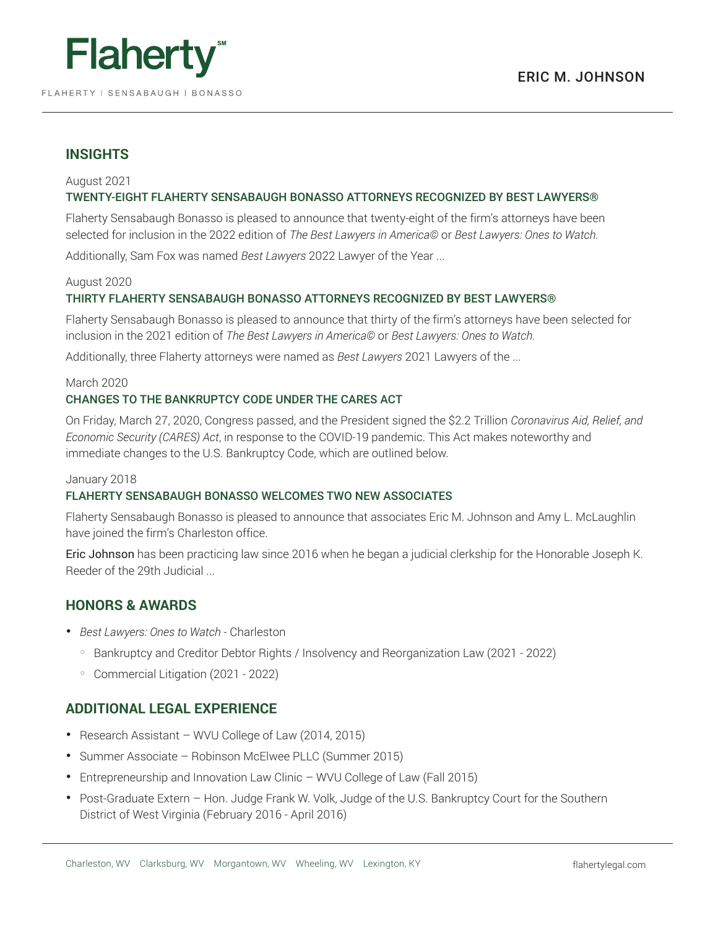

## **INSIGHTS**

#### August 2021 TWENTY-EIGHT FLAHERTY SENSABAUGH BONASSO ATTORNEYS RECOGNIZED BY BEST LAWYERS®

Flaherty Sensabaugh Bonasso is pleased to announce that twenty-eight of the firm's attorneys have been selected for inclusion in the 2022 edition of *The Best Lawyers in America©* or *Best Lawyers: Ones to Watch.*

Additionally, Sam Fox was named *Best Lawyers* 2022 Lawyer of the Year ...

#### August 2020

#### THIRTY FLAHERTY SENSABAUGH BONASSO ATTORNEYS RECOGNIZED BY BEST LAWYERS®

Flaherty Sensabaugh Bonasso is pleased to announce that thirty of the firm's attorneys have been selected for inclusion in the 2021 edition of *The Best Lawyers in America©* or *Best Lawyers: Ones to Watch.*

Additionally, three Flaherty attorneys were named as *Best Lawyers* 2021 Lawyers of the ...

### March 2020

#### CHANGES TO THE BANKRUPTCY CODE UNDER THE CARES ACT

On Friday, March 27, 2020, Congress passed, and the President signed the \$2.2 Trillion *Coronavirus Aid, Relief, and Economic Security (CARES) Act*, in response to the COVID-19 pandemic. This Act makes noteworthy and immediate changes to the U.S. Bankruptcy Code, which are outlined below.

#### January 2018

#### FLAHERTY SENSABAUGH BONASSO WELCOMES TWO NEW ASSOCIATES

Flaherty Sensabaugh Bonasso is pleased to announce that associates Eric M. Johnson and Amy L. McLaughlin have joined the firm's Charleston office.

Eric Johnson has been practicing law since 2016 when he began a judicial clerkship for the Honorable Joseph K. Reeder of the 29th Judicial ...

### **HONORS & AWARDS**

- *Best Lawyers: Ones to Watch* Charleston
	- Bankruptcy and Creditor Debtor Rights / Insolvency and Reorganization Law (2021 2022)
	- Commercial Litigation (2021 2022)

### **ADDITIONAL LEGAL EXPERIENCE**

- Research Assistant WVU College of Law (2014, 2015)
- Summer Associate Robinson McElwee PLLC (Summer 2015)
- Entrepreneurship and Innovation Law Clinic WVU College of Law (Fall 2015)
- Post-Graduate Extern Hon. Judge Frank W. Volk, Judge of the U.S. Bankruptcy Court for the Southern District of West Virginia (February 2016 - April 2016)